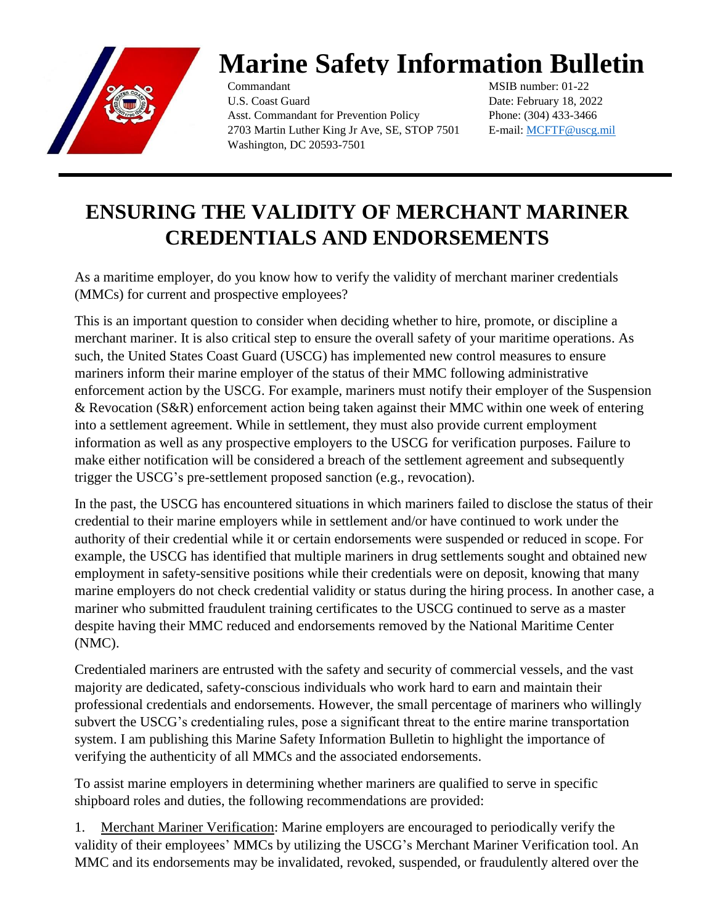

## **Marine Safety Information Bulletin**

Commandant U.S. Coast Guard Asst. Commandant for Prevention Policy 2703 Martin Luther King Jr Ave, SE, STOP 7501 Washington, DC 20593-7501

MSIB number: 01-22 Date: February 18, 2022 Phone: (304) 433-3466 E-mail: [MCFTF@uscg.mil](mailto:MCFTF@uscg.mil)

## **ENSURING THE VALIDITY OF MERCHANT MARINER CREDENTIALS AND ENDORSEMENTS**

As a maritime employer, do you know how to verify the validity of merchant mariner credentials (MMCs) for current and prospective employees?

This is an important question to consider when deciding whether to hire, promote, or discipline a merchant mariner. It is also critical step to ensure the overall safety of your maritime operations. As such, the United States Coast Guard (USCG) has implemented new control measures to ensure mariners inform their marine employer of the status of their MMC following administrative enforcement action by the USCG. For example, mariners must notify their employer of the Suspension & Revocation (S&R) enforcement action being taken against their MMC within one week of entering into a settlement agreement. While in settlement, they must also provide current employment information as well as any prospective employers to the USCG for verification purposes. Failure to make either notification will be considered a breach of the settlement agreement and subsequently trigger the USCG's pre-settlement proposed sanction (e.g., revocation).

In the past, the USCG has encountered situations in which mariners failed to disclose the status of their credential to their marine employers while in settlement and/or have continued to work under the authority of their credential while it or certain endorsements were suspended or reduced in scope. For example, the USCG has identified that multiple mariners in drug settlements sought and obtained new employment in safety-sensitive positions while their credentials were on deposit, knowing that many marine employers do not check credential validity or status during the hiring process. In another case, a mariner who submitted fraudulent training certificates to the USCG continued to serve as a master despite having their MMC reduced and endorsements removed by the National Maritime Center (NMC).

Credentialed mariners are entrusted with the safety and security of commercial vessels, and the vast majority are dedicated, safety-conscious individuals who work hard to earn and maintain their professional credentials and endorsements. However, the small percentage of mariners who willingly subvert the USCG's credentialing rules, pose a significant threat to the entire marine transportation system. I am publishing this Marine Safety Information Bulletin to highlight the importance of verifying the authenticity of all MMCs and the associated endorsements.

To assist marine employers in determining whether mariners are qualified to serve in specific shipboard roles and duties, the following recommendations are provided:

1. Merchant Mariner Verification: Marine employers are encouraged to periodically verify the validity of their employees' MMCs by utilizing the USCG's Merchant Mariner Verification tool. An MMC and its endorsements may be invalidated, revoked, suspended, or fraudulently altered over the